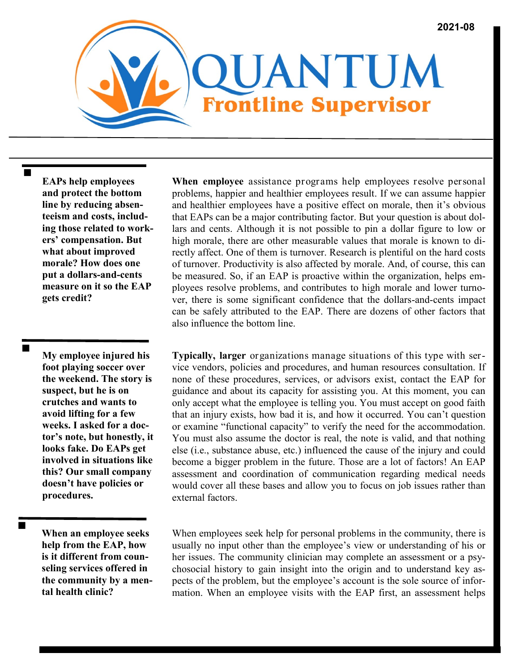**EAPs help employees and protect the bottom line by reducing absenteeism and costs, including those related to workers' compensation. But what about improved morale? How does one put a dollars-and-cents measure on it so the EAP gets credit?** 

**My employee injured his foot playing soccer over the weekend. The story is suspect, but he is on crutches and wants to avoid lifting for a few weeks. I asked for a doctor's note, but honestly, it looks fake. Do EAPs get involved in situations like this? Our small company doesn't have policies or procedures.** 

**When an employee seeks help from the EAP, how is it different from counseling services offered in the community by a mental health clinic?**

**When employee** assistance programs help employees resolve personal problems, happier and healthier employees result. If we can assume happier and healthier employees have a positive effect on morale, then it's obvious that EAPs can be a major contributing factor. But your question is about dollars and cents. Although it is not possible to pin a dollar figure to low or high morale, there are other measurable values that morale is known to directly affect. One of them is turnover. Research is plentiful on the hard costs of turnover. Productivity is also affected by morale. And, of course, this can be measured. So, if an EAP is proactive within the organization, helps employees resolve problems, and contributes to high morale and lower turnover, there is some significant confidence that the dollars-and-cents impact can be safely attributed to the EAP. There are dozens of other factors that also influence the bottom line.

**Typically, larger** organizations manage situations of this type with service vendors, policies and procedures, and human resources consultation. If none of these procedures, services, or advisors exist, contact the EAP for guidance and about its capacity for assisting you. At this moment, you can only accept what the employee is telling you. You must accept on good faith that an injury exists, how bad it is, and how it occurred. You can't question or examine "functional capacity" to verify the need for the accommodation. You must also assume the doctor is real, the note is valid, and that nothing else (i.e., substance abuse, etc.) influenced the cause of the injury and could become a bigger problem in the future. Those are a lot of factors! An EAP assessment and coordination of communication regarding medical needs would cover all these bases and allow you to focus on job issues rather than external factors.

When employees seek help for personal problems in the community, there is usually no input other than the employee's view or understanding of his or her issues. The community clinician may complete an assessment or a psychosocial history to gain insight into the origin and to understand key aspects of the problem, but the employee's account is the sole source of information. When an employee visits with the EAP first, an assessment helps